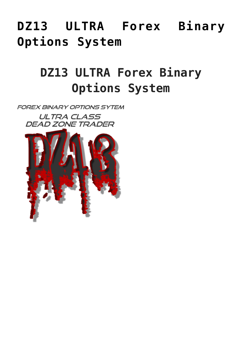# **[DZ13 ULTRA Forex Binary](https://binaryoptionsauthority.com/binary-options-authority/binary-option-systems/dz13-ultra-forex-binary-options-system/) [Options System](https://binaryoptionsauthority.com/binary-options-authority/binary-option-systems/dz13-ultra-forex-binary-options-system/)**

# **DZ13 ULTRA Forex Binary Options System**

**FOREX BINARY OPTIONS SYTEM ULTRA CLASS** 

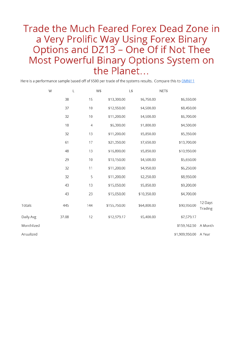## Trade the Much Feared Forex Dead Zone in a Very Prolific Way Using Forex Binary<br>Options and DZ13 – One Of if Not Thee Most Powerful Binary Options System on the Planet...

Here is a performance sample based off of \$500 per trade of the systems results. Compare this to **OMNI11** 

|            | W     | L          | W\$          | L\$         | NET\$          |                    |
|------------|-------|------------|--------------|-------------|----------------|--------------------|
|            | 38    | 15         | \$13,300.00  | \$6,750.00  | \$6,550.00     |                    |
|            | 37    | 10         | \$12,950.00  | \$4,500.00  | \$8,450.00     |                    |
|            | 32    | 10         | \$11,200.00  | \$4,500.00  | \$6,700.00     |                    |
|            | 18    | $\sqrt{4}$ | \$6,300.00   | \$1,800.00  | \$4,500.00     |                    |
|            | 32    | 13         | \$11,200.00  | \$5,850.00  | \$5,350.00     |                    |
|            | 61    | 17         | \$21,350.00  | \$7,650.00  | \$13,700.00    |                    |
|            | 48    | 13         | \$16,800.00  | \$5,850.00  | \$10,950.00    |                    |
|            | 29    | 10         | \$10,150.00  | \$4,500.00  | \$5,650.00     |                    |
|            | 32    | 11         | \$11,200.00  | \$4,950.00  | \$6,250.00     |                    |
|            | 32    | 5          | \$11,200.00  | \$2,250.00  | \$8,950.00     |                    |
|            | 43    | 13         | \$15,050.00  | \$5,850.00  | \$9,200.00     |                    |
|            | 43    | 23         | \$15,050.00  | \$10,350.00 | \$4,700.00     |                    |
| Totals     | 445   | 144        | \$155,750.00 | \$64,800.00 | \$90,950.00    | 12 Days<br>Trading |
| Daily Avg  | 37.08 | 12         | \$12,979.17  | \$5,400.00  | \$7,579.17     |                    |
| Monthlized |       |            |              |             | \$159,162.50   | A Month            |
| Anualized  |       |            |              |             | \$1,909,950.00 | A Year             |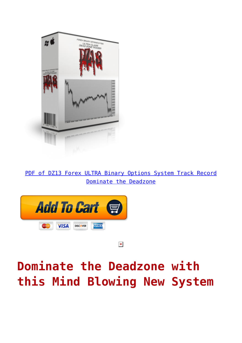

[PDF of DZ13 Forex ULTRA Binary Options System Track Record](https://binaryoptionsauthority.com/wp-content/uploads/2015/04/DZ13-Forex-ULTRA-Binary-Options-System-Dominate-the-Deadzone.pdf) [Dominate the Deadzone](https://binaryoptionsauthority.com/wp-content/uploads/2015/04/DZ13-Forex-ULTRA-Binary-Options-System-Dominate-the-Deadzone.pdf)



 $\pmb{\times}$ 

# **Dominate the Deadzone with this Mind Blowing New System**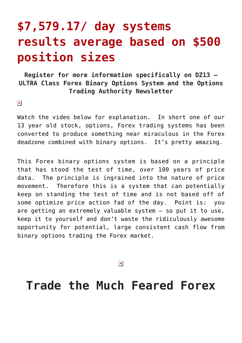## **\$7,579.17/ day systems results average based on \$500 position sizes**

#### **Register for more information specifically on DZ13 – ULTRA Class Forex Binary Options System and the Options Trading Authority Newsletter**

 $\pmb{\times}$ 

Watch the video below for explanation. In short one of our 13 year old stock, options, Forex trading systems has been converted to produce something near miraculous in the Forex deadzone combined with binary options. It's pretty amazing.

This Forex binary options system is based on a principle that has stood the test of time, over 100 years of price data. The principle is ingrained into the nature of price movement. Therefore this is a system that can potentially keep on standing the test of time and is not based off of some optimize price action fad of the day. Point is: you are getting an extremely valuable system – so put it to use, keep it to yourself and don't waste the ridiculously awesome opportunity for potential, large consistent cash flow from binary options trading the Forex market.

 $\pmb{\times}$ 

### **Trade the Much Feared Forex**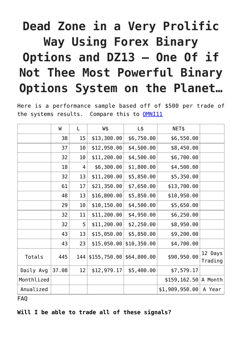# **Dead Zone in a Very Prolific Way Using Forex Binary Options and DZ13 – One Of if Not Thee Most Powerful Binary Options System on the Planet…**

Here is a performance sample based off of \$500 per trade of the systems results. Compare this to [OMNI11](http://forexbinaryoptionsystems.com/omni11/)

|            | W     | L   | W\$          | $L\$        | NET\$                    |                    |
|------------|-------|-----|--------------|-------------|--------------------------|--------------------|
|            | 38    | 15  | \$13,300.00  | \$6,750.00  | \$6,550.00               |                    |
|            | 37    | 10  | \$12,950.00  | \$4,500.00  | \$8,450.00               |                    |
|            | 32    | 10  | \$11,200.00  | \$4,500.00  | \$6,700.00               |                    |
|            | 18    | 4   | \$6,300.00   | \$1,800.00  | \$4,500.00               |                    |
|            | 32    | 13  | \$11,200.00  | \$5,850.00  | \$5,350.00               |                    |
|            | 61    | 17  | \$21,350.00  | \$7,650.00  | \$13,700.00              |                    |
|            | 48    | 13  | \$16,800.00  | \$5,850.00  | \$10,950.00              |                    |
|            | 29    | 10  | \$10, 150.00 | \$4,500.00  | \$5,650.00               |                    |
|            | 32    | 11  | \$11,200.00  | \$4,950.00  | \$6,250.00               |                    |
|            | 32    | 5   | \$11,200.00  | \$2,250.00  | \$8,950.00               |                    |
|            | 43    | 13  | \$15,050.00  | \$5,850.00  | \$9,200.00               |                    |
|            | 43    | 23  | \$15,050.00  | \$10,350.00 | \$4,700.00               |                    |
| Totals     | 445   | 144 | \$155,750.00 | \$64,800.00 | \$90,950.00              | 12 Days<br>Trading |
| Daily Avg  | 37.08 | 12  | \$12,979.17  | \$5,400.00  | \$7,579.17               |                    |
| Monthlized |       |     |              |             | $$159, 162.50   A$ Month |                    |
| Anualized  |       |     |              |             | \$1,909,950.00           | A Year             |

FAQ

**Will I be able to trade all of these signals?**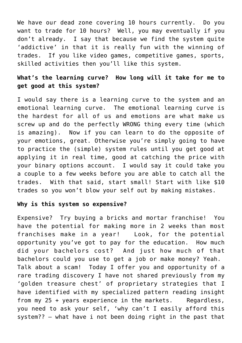We have our dead zone covering 10 hours currently. Do you want to trade for 10 hours? Well, you may eventually if you don't already. I say that because we find the system quite 'addictive' in that it is really fun with the winning of trades. If you like video games, competitive games, sports, skilled activities then you'll like this system.

#### **What's the learning curve? How long will it take for me to get good at this system?**

I would say there is a learning curve to the system and an emotional learning curve. The emotional learning curve is the hardest for all of us and emotions are what make us screw up and do the perfectly WRONG thing every time (which is amazing). Now if you can learn to do the opposite of your emotions, great. Otherwise you're simply going to have to practice the (simple) system rules until you get good at applying it in real time, good at catching the price with your binary options account. I would say it could take you a couple to a few weeks before you are able to catch all the trades. With that said, start small! Start with like \$10 trades so you won't blow your self out by making mistakes.

#### **Why is this system so expensive?**

Expensive? Try buying a bricks and mortar franchise! You have the potential for making more in 2 weeks than most franchises make in a year! Look, for the potential opportunity you've got to pay for the education. How much did your bachelors cost? And just how much of that bachelors could you use to get a job or make money? Yeah. Talk about a scam! Today I offer you and opportunity of a rare trading discovery I have not shared previously from my 'golden treasure chest' of proprietary strategies that I have identified with my specialized pattern reading insight from my 25 + years experience in the markets. Regardless, you need to ask your self, 'why can't I easily afford this system?? – what have i not been doing right in the past that